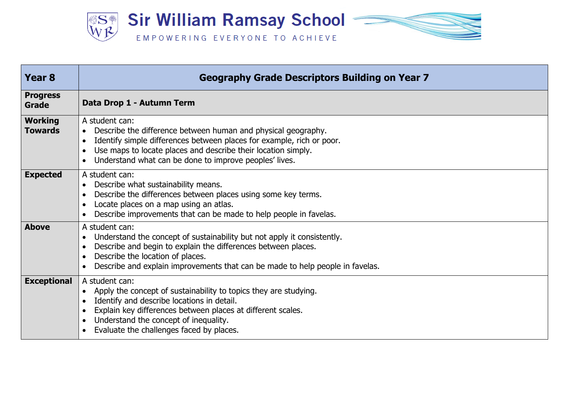

| Year <sub>8</sub>                | <b>Geography Grade Descriptors Building on Year 7</b>                                                                                                                                                                                                                                                         |
|----------------------------------|---------------------------------------------------------------------------------------------------------------------------------------------------------------------------------------------------------------------------------------------------------------------------------------------------------------|
| <b>Progress</b><br>Grade         | Data Drop 1 - Autumn Term                                                                                                                                                                                                                                                                                     |
| <b>Working</b><br><b>Towards</b> | A student can:<br>Describe the difference between human and physical geography.<br>$\bullet$<br>Identify simple differences between places for example, rich or poor.<br>$\bullet$<br>Use maps to locate places and describe their location simply.<br>Understand what can be done to improve peoples' lives. |
| <b>Expected</b>                  | A student can:<br>Describe what sustainability means.<br>$\bullet$<br>Describe the differences between places using some key terms.<br>Locate places on a map using an atlas.<br>Describe improvements that can be made to help people in favelas.                                                            |
| <b>Above</b>                     | A student can:<br>Understand the concept of sustainability but not apply it consistently.<br>Describe and begin to explain the differences between places.<br>Describe the location of places.<br>Describe and explain improvements that can be made to help people in favelas.                               |
| <b>Exceptional</b>               | A student can:<br>Apply the concept of sustainability to topics they are studying.<br>$\bullet$<br>Identify and describe locations in detail.<br>Explain key differences between places at different scales.<br>Understand the concept of inequality.<br>Evaluate the challenges faced by places.             |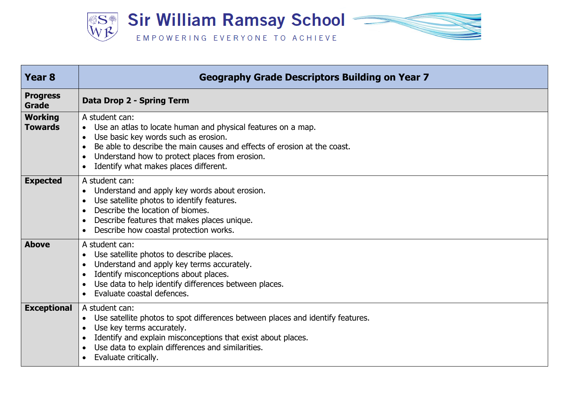

| <b>Year 8</b>                    | <b>Geography Grade Descriptors Building on Year 7</b>                                                                                                                                                                                                                                                      |
|----------------------------------|------------------------------------------------------------------------------------------------------------------------------------------------------------------------------------------------------------------------------------------------------------------------------------------------------------|
| <b>Progress</b><br><b>Grade</b>  | Data Drop 2 - Spring Term                                                                                                                                                                                                                                                                                  |
| <b>Working</b><br><b>Towards</b> | A student can:<br>Use an atlas to locate human and physical features on a map.<br>$\bullet$<br>Use basic key words such as erosion.<br>Be able to describe the main causes and effects of erosion at the coast.<br>Understand how to protect places from erosion.<br>Identify what makes places different. |
| <b>Expected</b>                  | A student can:<br>Understand and apply key words about erosion.<br>Use satellite photos to identify features.<br>Describe the location of biomes.<br>Describe features that makes places unique.<br>Describe how coastal protection works.                                                                 |
| <b>Above</b>                     | A student can:<br>Use satellite photos to describe places.<br>Understand and apply key terms accurately.<br>Identify misconceptions about places.<br>Use data to help identify differences between places.<br>Evaluate coastal defences.                                                                   |
| <b>Exceptional</b>               | A student can:<br>Use satellite photos to spot differences between places and identify features.<br>Use key terms accurately.<br>Identify and explain misconceptions that exist about places.<br>Use data to explain differences and similarities.<br>Evaluate critically.                                 |